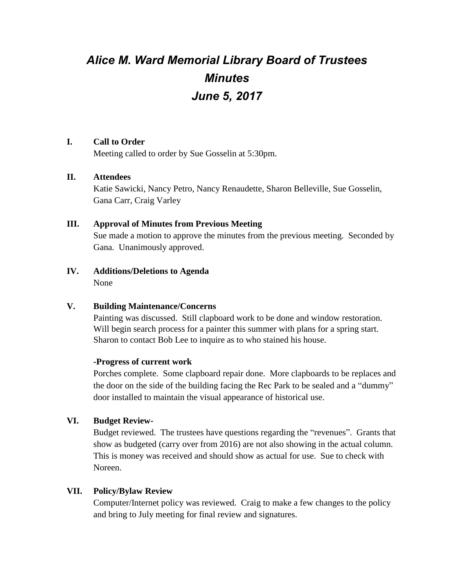# *Alice M. Ward Memorial Library Board of Trustees Minutes June 5, 2017*

#### **I. Call to Order**

Meeting called to order by Sue Gosselin at 5:30pm.

#### **II. Attendees**

Katie Sawicki, Nancy Petro, Nancy Renaudette, Sharon Belleville, Sue Gosselin, Gana Carr, Craig Varley

#### **III. Approval of Minutes from Previous Meeting**

Sue made a motion to approve the minutes from the previous meeting. Seconded by Gana. Unanimously approved.

**IV. Additions/Deletions to Agenda** None

## **V. Building Maintenance/Concerns**

Painting was discussed. Still clapboard work to be done and window restoration. Will begin search process for a painter this summer with plans for a spring start. Sharon to contact Bob Lee to inquire as to who stained his house.

#### **-Progress of current work**

Porches complete. Some clapboard repair done. More clapboards to be replaces and the door on the side of the building facing the Rec Park to be sealed and a "dummy" door installed to maintain the visual appearance of historical use.

## **VI. Budget Review-**

Budget reviewed. The trustees have questions regarding the "revenues". Grants that show as budgeted (carry over from 2016) are not also showing in the actual column. This is money was received and should show as actual for use. Sue to check with Noreen.

## **VII. Policy/Bylaw Review**

Computer/Internet policy was reviewed. Craig to make a few changes to the policy and bring to July meeting for final review and signatures.